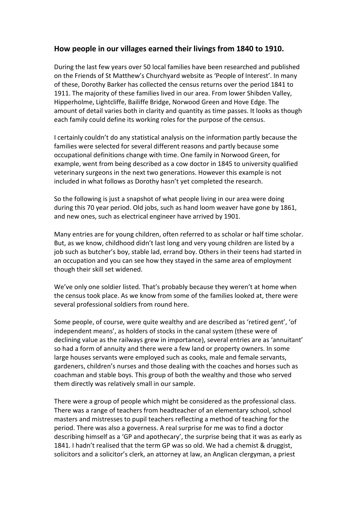## **How people in our villages earned their livings from 1840 to 1910.**

During the last few years over 50 local families have been researched and published on the Friends of St Matthew's Churchyard website as 'People of Interest'. In many of these, Dorothy Barker has collected the census returns over the period 1841 to 1911. The majority of these families lived in our area. From lower Shibden Valley, Hipperholme, Lightcliffe, Bailiffe Bridge, Norwood Green and Hove Edge. The amount of detail varies both in clarity and quantity as time passes. It looks as though each family could define its working roles for the purpose of the census.

I certainly couldn't do any statistical analysis on the information partly because the families were selected for several different reasons and partly because some occupational definitions change with time. One family in Norwood Green, for example, went from being described asa cow doctor in 1845 to university qualified veterinary surgeons in the next two generations. However this example is not included in what follows as Dorothy hasn't yet completed the research.

So the following is just a snapshot of what people living in our area were doing during this 70 year period. Old jobs, such as hand loom weaver have gone by 1861, and new ones, such as electrical engineer have arrived by 1901.

Many entries are for young children, often referred to as scholar or half time scholar. But, as we know, childhood didn't last long and very young children are listed by a job such as butcher's boy, stable lad, errand boy. Others in their teens had started in an occupation and you can see how they stayed in the same area of employment though their skill set widened.

We've only one soldier listed. That's probably because they weren't at home when the census took place. As we know from some of the families looked at, there were several professional soldiers from round here.

Some people, of course, were quite wealthy and are described as 'retired gent', 'of independent means', as holders of stocks in the canal system (these were of declining value as the railways grew in importance), several entries are as 'annuitant' so had a form of annuity and there were a few land or property owners. In some large houses servants were employed such as cooks, male and female servants, gardeners, children's nurses and those dealing with the coaches and horses such as coachman and stable boys. This group of both the wealthy and those who served them directly was relatively small in our sample.

There were a group of people which might be considered as the professional class. There was a range of teachers from headteacher of an elementary school, school masters and mistresses to pupil teachers reflecting a method of teaching for the period. There was also a governess. A real surprise for me was to find a doctor describing himself as a 'GP and apothecary', the surprise being that it was as early as 1841. I hadn't realised that the term GP was so old. We had a chemist & druggist, solicitors and a solicitor's clerk, an attorney at law, an Anglican clergyman, a priest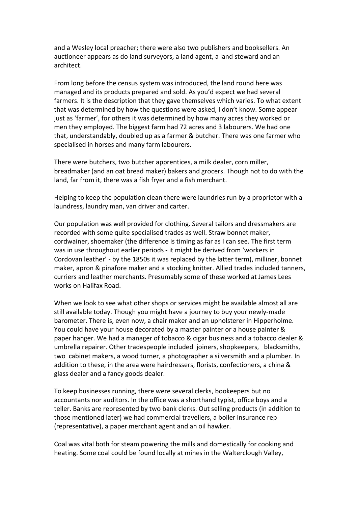and a Wesley local preacher; there were also two publishers and booksellers. An auctioneer appears as do land surveyors, a land agent, a land steward and an architect.

From long before the census system was introduced, the land round here was managed and its products prepared and sold. As you'd expect we had several farmers. It is the description that they gave themselves which varies. To what extent that was determined by how the questions were asked, I don't know. Some appear just as 'farmer', for others it was determined by how many acres they worked or men they employed. The biggest farm had 72 acres and 3 labourers. We had one that, understandably, doubled up as a farmer & butcher. There was one farmer who specialised in horses and many farm labourers.

There were butchers, two butcher apprentices, a milk dealer, corn miller, breadmaker (and an oat bread maker) bakers and grocers. Though not to do with the land, far from it, there was a fish fryer and a fish merchant.

Helping to keep the population clean there were laundries run by a proprietor with a laundress, laundry man, van driver and carter.

Our population was well provided for clothing. Several tailors and dressmakers are recorded with some quite specialised trades as well. Straw bonnet maker, cordwainer, shoemaker (the difference is timing as far as I can see. The first term was in use throughout earlier periods - it might be derived from 'workers in Cordovan leather' - by the 1850s it was replaced by the latter term), milliner, bonnet maker, apron & pinafore maker and a stocking knitter. Allied trades included tanners, curriers and leather merchants. Presumably some of these worked at James Lees works on Halifax Road.

When we look to see what other shops or services might be available almost all are still available today. Though you might have a journey to buy your newly-made barometer. There is, even now, a chair maker and an upholsterer in Hipperholme. You could have your house decorated by a master painter or a house painter & paper hanger. We had a manager of tobacco & cigar business and a tobacco dealer & umbrella repairer. Other tradespeople included joiners, shopkeepers, blacksmiths, two cabinet makers, a wood turner, a photographer a silversmith and a plumber. In addition to these, in the area were hairdressers, florists, confectioners, a china & glass dealer and a fancy goods dealer.

To keep businesses running, there were several clerks, bookeepers but no accountants nor auditors. In the office was a shorthand typist, office boys and a teller. Banks are represented by two bank clerks. Out selling products (in addition to those mentioned later) we had commercial travellers, a boiler insurance rep (representative), a paper merchant agent and an oil hawker.

Coal was vital both for steam powering the millsand domestically for cooking and heating. Some coal could be found locally at mines in the Walterclough Valley,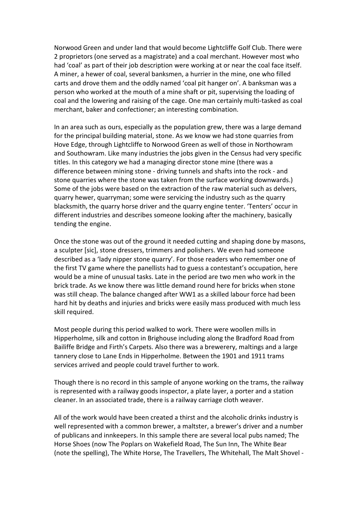Norwood Green and under land that would become Lightcliffe Golf Club. There were 2 proprietors (one served as a magistrate) and a coal merchant. However most who had 'coal' as part of their job description were working at or near the coal face itself. A miner, a hewer of coal, several banksmen, a hurrier in the mine, one who filled carts and drove them and the oddly named 'coal pit hanger on'. A banksman was a person who worked at the mouth of a mine shaft or pit, supervising the loading of coal and the lowering and raising of the cage. One man certainly multi-tasked as coal merchant, baker and confectioner; an interesting combination.

In an area such as ours, especially as the population grew, there was a large demand for the principal building material, stone. As we know we had stone quarries from Hove Edge, through Lightcliffe to Norwood Green as well of those in Northowram and Southowram. Like many industries the jobs given in the Census had very specific titles. In this category we had a managing director stone mine (there was a difference between mining stone - driving tunnels and shafts into the rock - and stone quarries where the stone was taken from the surface working downwards.) Some of the jobs were based on the extraction of the raw material such as delvers, quarry hewer, quarryman; some were servicing the industry such as the quarry blacksmith, the quarry horse driver and the quarry engine tenter. 'Tenters' occur in different industries and describes someone looking after the machinery, basically tending the engine.

Once the stone was out of the ground it needed cutting and shaping done by masons, a sculpter [sic], stone dressers, trimmers and polishers. We even had someone described as a 'lady nipper stone quarry'. For those readers who remember one of the first TV game where the panellists had to guess a contestant's occupation, here would be a mine of unusual tasks. Late in the period are two men who work in the brick trade. As we know there was little demand round here for bricks when stone was still cheap. The balance changed after WW1 as a skilled labour force had been hard hit by deaths and injuries and brickswere easily mass produced with much less skill required.

Most people during this period walked to work. There were woollen mills in Hipperholme, silk and cotton in Brighouse including along the Bradford Road from Bailiffe Bridge and Firth's Carpets. Also there was a brewerery, maltings and a large tannery close to Lane Ends in Hipperholme. Between the 1901 and 1911 trams services arrived and people could travel further to work.

Though there is no record in this sample of anyone working on the trams, the railway is represented with a railway goods inspector, a plate layer, a porter and a station cleaner. In an associated trade, there is a railway carriage cloth weaver.

All of the work would have been created a thirst and the alcoholic drinks industry is well represented with a common brewer, a maltster, a brewer's driver and a number of publicans and innkeepers. In this sample there are several local pubs named; The Horse Shoes (now The Poplars on Wakefield Road, The Sun Inn, The White Bear (note the spelling), The White Horse, The Travellers, The Whitehall, The Malt Shovel -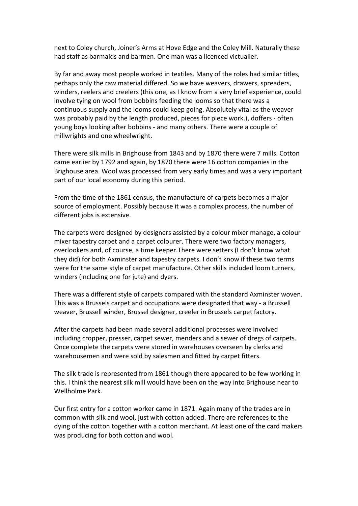next to Coley church, Joiner's Arms at Hove Edge and the Coley Mill. Naturally these had staff as barmaids and barmen. One man was a licenced victualler.

By far and away most people worked in textiles. Many of the roles had similar titles, perhaps only the raw material differed. So we have weavers, drawers, spreaders, winders, reelers and creelers (this one, as I know from a very brief experience, could involve tying on wool from bobbins feeding the looms so that there was a continuous supply and the looms could keep going. Absolutely vital as the weaver was probably paid by the length produced, pieces for piece work.), doffers - often young boys looking after bobbins - and many others. There were a couple of millwrights and one wheelwright.

There were silk mills in Brighouse from 1843 and by 1870 there were 7 mills. Cotton came earlier by 1792 and again, by 1870 there were 16 cotton companies in the Brighouse area. Wool was processed from very early times and was a very important part of our local economy during this period.

From the time of the 1861 census, the manufacture of carpets becomes a major source of employment. Possibly because it was a complex process, the number of different jobs is extensive.

The carpets were designed by designers assisted by a colour mixer manage, a colour mixer tapestry carpet and a carpet colourer. There were two factory managers, overlookers and, of course, a time keeper.There were setters (I don't know what they did) for both Axminster and tapestry carpets. I don't know if these two terms were for the same style of carpet manufacture. Other skills included loom turners, winders (including one for jute) and dyers.

There was a different style of carpets compared with the standard Axminster woven. This was a Brussels carpet and occupations were designated that way - a Brussell weaver, Brussell winder, Brussel designer, creeler in Brussels carpet factory.

After the carpets had been made several additional processes were involved including cropper, presser, carpet sewer, menders and a sewer of dregs of carpets. Once complete the carpets were stored in warehouses overseen by clerks and warehousemen and were sold by salesmen and fitted by carpet fitters.

The silk trade is represented from 1861 though there appeared to be few working in this. I think the nearest silk mill would have been on the way into Brighouse near to Wellholme Park.

Our first entry for a cotton worker came in 1871. Again many of the trades are in common with silk and wool, just with cotton added. There are references to the dying of the cotton together with a cotton merchant. At least one of the card makers was producing for both cotton and wool.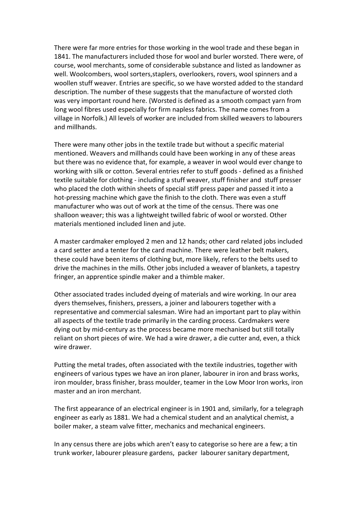There were far more entries for those working in the wool trade and these began in 1841. The manufacturers included those for wool and burler worsted. There were, of course, wool merchants, some of considerable substance and listed as landowner as well. Woolcombers, wool sorters,staplers, overlookers, rovers, wool spinners and a woollen stuff weaver. Entries are specific, so we have worsted added to the standard description. The number of these suggests that the manufacture of worsted cloth was very important round here. (Worsted is defined as a smooth compact yarn from long wool fibres used especially for firm napless fabrics. The name comes from a village in Norfolk.) All levels of worker are included from skilled weavers to labourers and millhands.

There were many other jobs in the textile trade but without a specific material mentioned. Weavers and millhands could have been working in any of these areas but there was no evidence that, for example, a weaver in wool would ever change to working with silk or cotton. Several entries refer to stuff goods - defined as a finished textile suitable for clothing - including a stuff weaver, stuff finisher and stuff presser who placed the cloth within sheets of special stiff press paper and passed it into a hot-pressing machine which gave the finish to the cloth. There was even a stuff manufacturer who was out of work at the time of the census. There was one shalloon weaver; this was a lightweight twilled fabric of wool or worsted. Other materials mentioned included linen and jute.

A master cardmaker employed 2 men and 12 hands; other card related jobs included a card setter and a tenter for the card machine. There were leather belt makers, these could have been items of clothing but, more likely, refers to the belts used to drive the machines in the mills. Other jobs included a weaver of blankets, a tapestry fringer, an apprentice spindle maker and a thimble maker.

Other associated trades included dyeing of materials and wire working. In our area dyers themselves, finishers, pressers, a joiner and labourers together with a representative and commercial salesman. Wire had an important part to play within all aspects of the textile trade primarily in the carding process. Cardmakers were dying out by mid-century as the process became more mechanised but still totally reliant on short pieces of wire. We had a wire drawer, a die cutter and, even, a thick wire drawer.

Putting the metal trades, often associated with the textile industries, together with engineers of various types we have an iron planer, labourer in iron and brass works, iron moulder, brass finisher, brass moulder, teamer in the Low Moor Iron works, iron master and an iron merchant.

The first appearance of an electrical engineer is in 1901 and, similarly, for a telegraph engineer as early as 1881. We had a chemical student and an analytical chemist, a boiler maker, a steam valve fitter, mechanics and mechanical engineers.

In any census there are jobs which aren't easy to categorise so here are a few; a tin trunk worker, labourer pleasure gardens, packer labourer sanitary department,